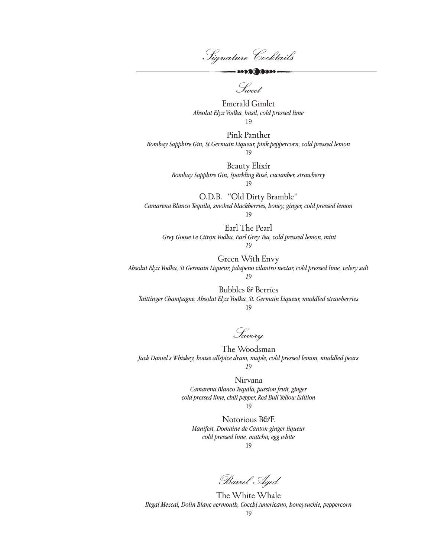Signature Cocktails

 $\longrightarrow\infty\otimes\bullet\otimes\bullet\otimes\bullet$ 

Sweet

Emerald Gimlet *Absolut Elyx Vodka, basil, cold pressed lime* 19

Pink Panther *Bombay Sapphire Gin, St Germain Liqueur, pink peppercorn, cold pressed lemon* 19

> Beauty Elixir *Bombay Sapphire Gin, Sparkling Rosé, cucumber, strawberry* 19

O.D.B. "Old Dirty Bramble" *Camarena Blanco Tequila, smoked blackberries, honey, ginger, cold pressed lemon*

19

Earl The Pearl  *Grey Goose Le Citron Vodka, Earl Grey Tea, cold pressed lemon, mint 19*

Green With Envy *Absolut Elyx Vodka, St Germain Liqueur, jalapeno cilantro nectar, cold pressed lime, celery salt*

*19*

Bubbles & Berries *Taittinger Champagne, Absolut Elyx Vodka, St. Germain Liqueur, muddled strawberries* 19

Savory

The Woodsman *Jack Daniel's Whiskey, house allspice dram, maple, cold pressed lemon, muddled pears 19*

Nirvana

*Camarena Blanco Tequila, passion fruit, ginger cold pressed lime, chili pepper, Red Bull Yellow Edition* 19

Notorious B&E *Manifest, Domaine de Canton ginger liqueur cold pressed lime, matcha, egg white*  19

Barrel Aged

The White Whale *Ilegal Mezcal, Dolin Blanc vermouth, Cocchi Americano, honeysuckle, peppercorn* 19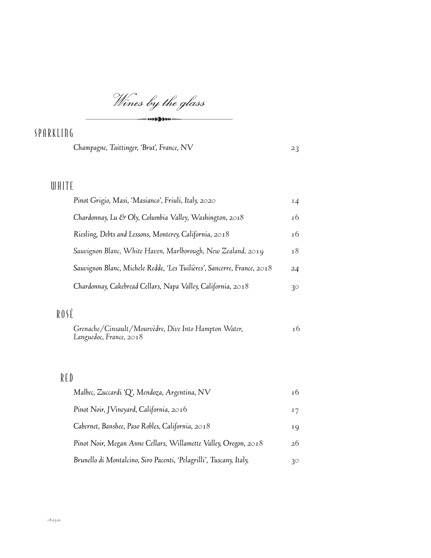Wines by the glass  $\cdots$ 

## SPARKLING

*Champagne, Taittinger, 'Brut', France, NV 23*

## WHITE

| Pinot Grigio, Masi, 'Masianco', Friuli, Italy, 2020                     | 14 |
|-------------------------------------------------------------------------|----|
| Chardonnay, Lu & Oly, Columbia Valley, Washington, 2018                 | 16 |
| Riesling, Debts and Lessons, Monterey, California, 2018                 | 16 |
| Sauvignon Blanc, White Haven, Marlborough, New Zealand, 2019            | 18 |
| Sauvignon Blanc, Michele Redde, 'Les Tuilières', Sancerre, France, 2018 | 24 |
| Chardonnay, Cakebread Cellars, Napa Valley, California, 2018            | 30 |

## ROSÉ

| Grenache/Cinsault/Mourvèdre, Dive Into Hampton Water, | 16 |
|-------------------------------------------------------|----|
| Languedoc, France, 2018                               |    |

## RED

| Malbec, Zuccardi 'Q', Mendoza, Argentina, NV                        | 16 |
|---------------------------------------------------------------------|----|
| Pinot Noir, JVineyard, California, 2016                             | 17 |
| Cabernet, Banshee, Paso Robles, California, 2018                    | 19 |
| Pinot Noir, Megan Anne Cellars, Willamette Valley, Oregon, 2018     | 26 |
| Brunello di Montalcino, Siro Pacenti, 'Pelagrilli', Tuscany, Italy, | 30 |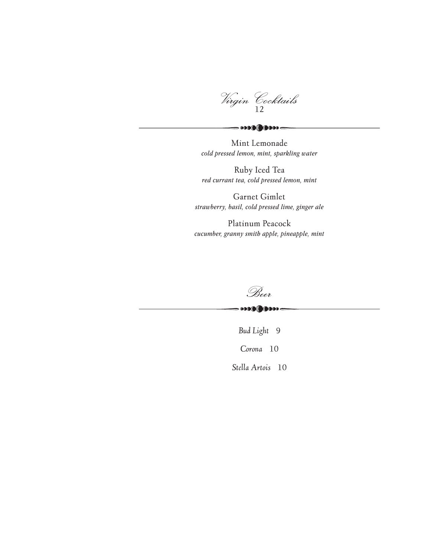Virgin Cocktails <sup>12</sup>

Mint Lemonade *cold pressed lemon, mint, sparkling water*

 $-000000000000$ 

Ruby Iced Tea *red currant tea, cold pressed lemon, mint*

Garnet Gimlet *strawberry, basil, cold pressed lime, ginger ale*

Platinum Peacock *cucumber, granny smith apple, pineapple, mint*



*Bud Light* 9 *Corona* 10 *Stella Artois* 10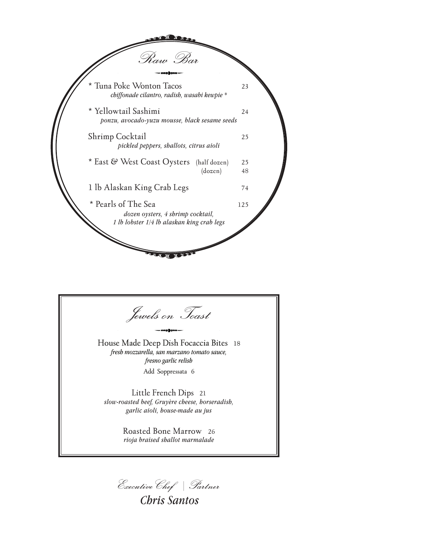

Jewels on Toast House Made Deep Dish Focaccia Bites 18 *fresh mozzarella, san marzano tomato sauce, fresno garlic relish* Add Soppressata 6 Little French Dips 21 *slow-roasted beef, Gruyère cheese, horseradish, garlic aioli, house-made au jus* Roasted Bone Marrow 26 *rioja braised shallot marmalade*

ExecutiveChef | Partner

*Chris Santos*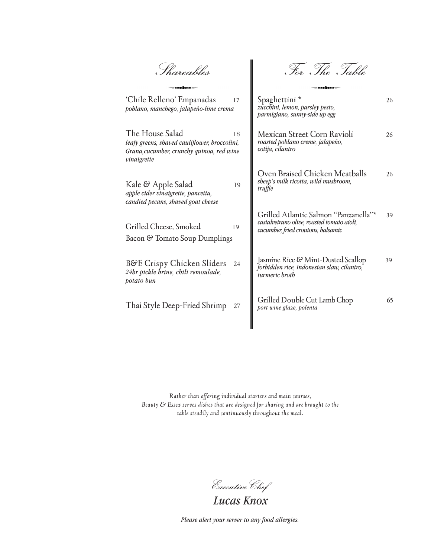Shareables

For The Table

| 'Chile Relleno' Empanadas<br>17<br>poblano, manchego, jalapeño-lime crema                                                          | Spaghettini *<br>zucchini, lemon, parsley pesto,<br>parmigiano, sunny-side up egg                                         | 26 |
|------------------------------------------------------------------------------------------------------------------------------------|---------------------------------------------------------------------------------------------------------------------------|----|
| The House Salad<br>18<br>leafy greens, shaved cauliflower, broccolini,<br>Grana, cucumber, crunchy quinoa, red wine<br>vinaigrette | Mexican Street Corn Ravioli<br>roasted poblano creme, jalapeño,<br>cotija, cilantro                                       | 26 |
| Kale & Apple Salad<br>19<br>apple cider vinaigrette, pancetta,<br>candied pecans, shaved goat cheese                               | Oven Braised Chicken Meatballs<br>sheep's milk ricotta, wild mushroom,<br>truffle                                         | 26 |
| Grilled Cheese, Smoked<br>19<br>Bacon & Tomato Soup Dumplings                                                                      | Grilled Atlantic Salmon "Panzanella"*<br>castalvetrano olive, roasted tomato aioli,<br>cucumber, fried croutons, balsamic | 39 |
| <b>B&amp;E Crispy Chicken Sliders</b><br>24<br>24hr pickle brine, chili remoulade,<br>potato bun                                   | Jasmine Rice & Mint-Dusted Scallop<br>forbidden rice, Indonesian slaw, cilantro,<br>turmeric broth                        | 39 |
| Thai Style Deep-Fried Shrimp<br>27                                                                                                 | Grilled Double Cut Lamb Chop<br>port wine glaze, polenta                                                                  | 65 |
|                                                                                                                                    |                                                                                                                           |    |

║

*Rather than offering individual starters and main courses, Beauty & Essex serves dishes that are designed for sharing and are brought to the table steadily and continuously throughout the meal.*

ExecutiveChef

*Lucas Knox*

*Please alert your server to any food allergies.*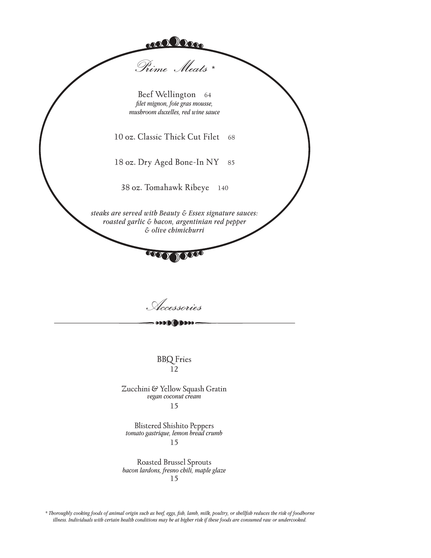

Accessories

BBQ Fries 12

Zucchini & Yellow Squash Gratin *vegan coconut cream* 15

Blistered Shishito Peppers *tomato gastrique, lemon bread crumb* 15

Roasted Brussel Sprouts *bacon lardons, fresno chili, maple glaze* 15

*\* Thoroughly cooking foods of animal origin such as beef, eggs, fish, lamb, milk, poultry, or shellfish reduces the risk of foodborne illness. Individuals with certain health conditions may be at higher risk if these foods are consumed raw or undercooked.*